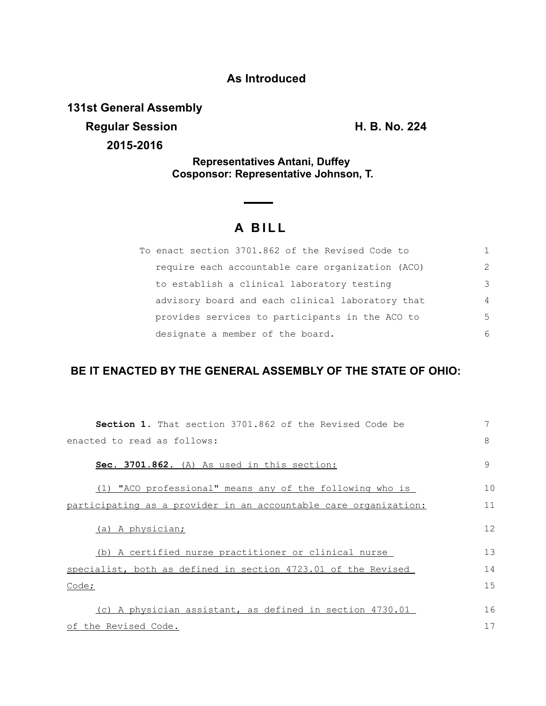## **As Introduced**

**131st General Assembly**

**Regular Session H. B. No. 224 2015-2016**

**Representatives Antani, Duffey Cosponsor: Representative Johnson, T.**

## **A B I L L**

| To enact section 3701.862 of the Revised Code to |               |
|--------------------------------------------------|---------------|
| require each accountable care organization (ACO) | $\mathcal{P}$ |
| to establish a clinical laboratory testing       | 3             |
| advisory board and each clinical laboratory that | 4             |
| provides services to participants in the ACO to  | 5             |
| designate a member of the board.                 | 6             |

## **BE IT ENACTED BY THE GENERAL ASSEMBLY OF THE STATE OF OHIO:**

| <b>Section 1.</b> That section 3701.862 of the Revised Code be   | 7  |  |
|------------------------------------------------------------------|----|--|
| enacted to read as follows:                                      |    |  |
| Sec. 3701.862. (A) As used in this section:                      | 9  |  |
| (1) "ACO professional" means any of the following who is         | 10 |  |
| participating as a provider in an accountable care organization: | 11 |  |
| (a) A physician;                                                 | 12 |  |
| (b) A certified nurse practitioner or clinical nurse             | 13 |  |
| specialist, both as defined in section 4723.01 of the Revised    | 14 |  |
| Code;                                                            |    |  |
| (c) A physician assistant, as defined in section 4730.01         | 16 |  |
| of the Revised Code.                                             |    |  |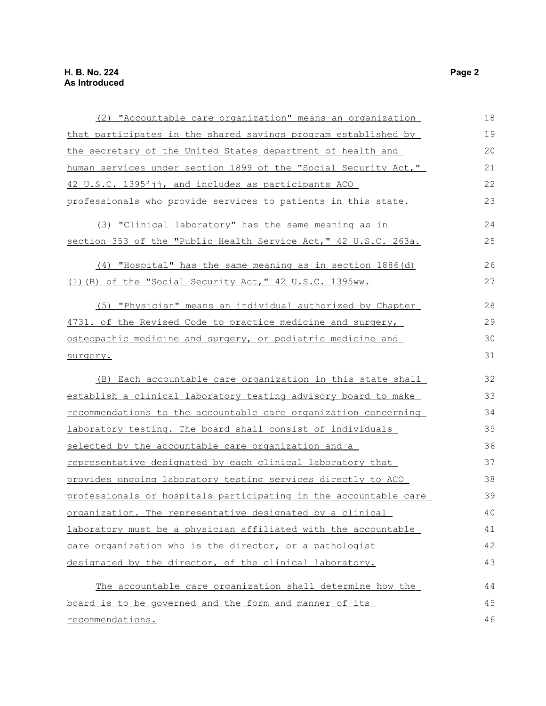| (2) "Accountable care organization" means an organization        | 18 |  |
|------------------------------------------------------------------|----|--|
| that participates in the shared savings program established by   |    |  |
| the secretary of the United States department of health and      | 20 |  |
| human services under section 1899 of the "Social Security Act,"  |    |  |
| 42 U.S.C. 1395jjj, and includes as participants ACO              | 22 |  |
| professionals who provide services to patients in this state.    | 23 |  |
| (3) "Clinical laboratory" has the same meaning as in             | 24 |  |
| section 353 of the "Public Health Service Act," 42 U.S.C. 263a.  | 25 |  |
| (4) "Hospital" has the same meaning as in section 1886(d)        | 26 |  |
| (1) (B) of the "Social Security Act," 42 U.S.C. 1395ww.          | 27 |  |
| (5) "Physician" means an individual authorized by Chapter        | 28 |  |
| 4731. of the Revised Code to practice medicine and surgery,      |    |  |
| osteopathic medicine and surgery, or podiatric medicine and      |    |  |
| surgery.                                                         |    |  |
| (B) Each accountable care organization in this state shall       | 32 |  |
| establish a clinical laboratory testing advisory board to make   | 33 |  |
| recommendations to the accountable care organization concerning  |    |  |
| laboratory testing. The board shall consist of individuals       |    |  |
| selected by the accountable care organization and a              | 36 |  |
| representative designated by each clinical laboratory that       | 37 |  |
| provides ongoing laboratory testing services directly to ACO     | 38 |  |
| professionals or hospitals participating in the accountable care | 39 |  |
| organization. The representative designated by a clinical        | 40 |  |
| laboratory must be a physician affiliated with the accountable   | 41 |  |
| care organization who is the director, or a pathologist          | 42 |  |
| designated by the director, of the clinical laboratory.          | 43 |  |
| The accountable care organization shall determine how the        | 44 |  |
| board is to be governed and the form and manner of its           | 45 |  |
| recommendations.                                                 |    |  |